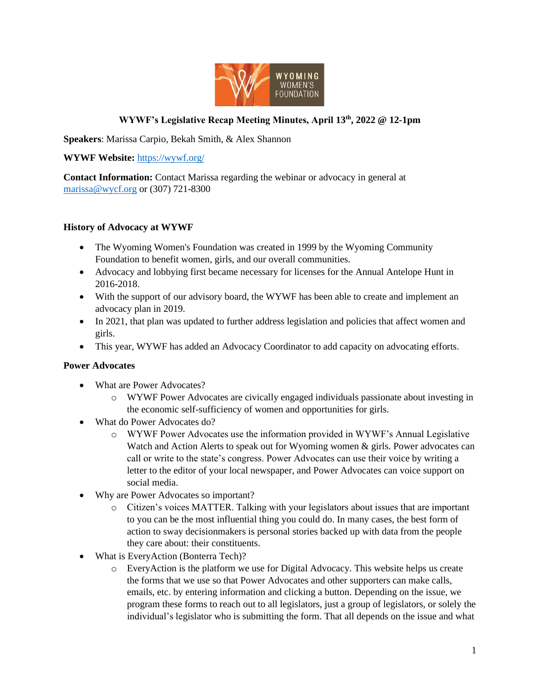

## **WYWF's Legislative Recap Meeting Minutes, April 13th, 2022 @ 12-1pm**

**Speakers**: Marissa Carpio, Bekah Smith, & Alex Shannon

**WYWF Website:** <https://wywf.org/>

**Contact Information:** Contact Marissa regarding the webinar or advocacy in general at [marissa@wycf.org](mailto:marissa@wycf.org) or (307) 721-8300

#### **History of Advocacy at WYWF**

- The Wyoming Women's Foundation was created in 1999 by the Wyoming Community Foundation to benefit women, girls, and our overall communities.
- Advocacy and lobbying first became necessary for licenses for the Annual Antelope Hunt in 2016-2018.
- With the support of our advisory board, the WYWF has been able to create and implement an advocacy plan in 2019.
- In 2021, that plan was updated to further address legislation and policies that affect women and girls.
- This year, WYWF has added an Advocacy Coordinator to add capacity on advocating efforts.

#### **Power Advocates**

- What are Power Advocates?
	- o WYWF Power Advocates are civically engaged individuals passionate about investing in the economic self-sufficiency of women and opportunities for girls.
- What do Power Advocates do?
	- o WYWF Power Advocates use the information provided in WYWF's Annual Legislative Watch and Action Alerts to speak out for Wyoming women & girls. Power advocates can call or write to the state's congress. Power Advocates can use their voice by writing a letter to the editor of your local newspaper, and Power Advocates can voice support on social media.
- Why are Power Advocates so important?
	- o Citizen's voices MATTER. Talking with your legislators about issues that are important to you can be the most influential thing you could do. In many cases, the best form of action to sway decisionmakers is personal stories backed up with data from the people they care about: their constituents.
- What is EveryAction (Bonterra Tech)?
	- o EveryAction is the platform we use for Digital Advocacy. This website helps us create the forms that we use so that Power Advocates and other supporters can make calls, emails, etc. by entering information and clicking a button. Depending on the issue, we program these forms to reach out to all legislators, just a group of legislators, or solely the individual's legislator who is submitting the form. That all depends on the issue and what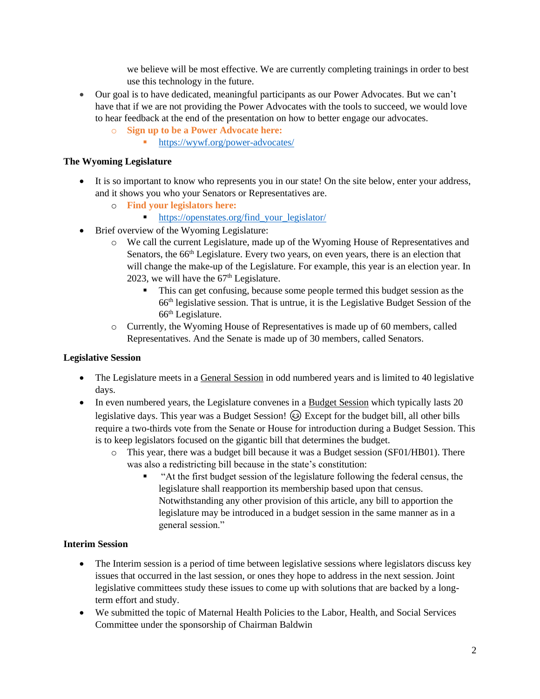we believe will be most effective. We are currently completing trainings in order to best use this technology in the future.

- Our goal is to have dedicated, meaningful participants as our Power Advocates. But we can't have that if we are not providing the Power Advocates with the tools to succeed, we would love to hear feedback at the end of the presentation on how to better engage our advocates.
	- o **Sign up to be a Power Advocate here:**
		- <https://wywf.org/power-advocates/>

## **The Wyoming Legislature**

- It is so important to know who represents you in our state! On the site below, enter your address, and it shows you who your Senators or Representatives are.
	- o **Find your legislators here:**
		- [https://openstates.org/find\\_your\\_legislator/](https://openstates.org/find_your_legislator/)
- Brief overview of the Wyoming Legislature:
	- o We call the current Legislature, made up of the Wyoming House of Representatives and Senators, the 66<sup>th</sup> Legislature. Every two years, on even years, there is an election that will change the make-up of the Legislature. For example, this year is an election year. In 2023, we will have the  $67<sup>th</sup>$  Legislature.
		- This can get confusing, because some people termed this budget session as the 66th legislative session. That is untrue, it is the Legislative Budget Session of the  $66<sup>th</sup>$  Legislature.
	- o Currently, the Wyoming House of Representatives is made up of 60 members, called Representatives. And the Senate is made up of 30 members, called Senators.

# **Legislative Session**

- The Legislature meets in a General Session in odd numbered years and is limited to 40 legislative days.
- In even numbered years, the Legislature convenes in a Budget Session which typically lasts 20 legislative days. This year was a Budget Session!  $\odot$  Except for the budget bill, all other bills require a two-thirds vote from the Senate or House for introduction during a Budget Session. This is to keep legislators focused on the gigantic bill that determines the budget.
	- o This year, there was a budget bill because it was a Budget session (SF01/HB01). There was also a redistricting bill because in the state's constitution:
		- "At the first budget session of the legislature following the federal census, the legislature shall reapportion its membership based upon that census. Notwithstanding any other provision of this article, any bill to apportion the legislature may be introduced in a budget session in the same manner as in a general session."

## **Interim Session**

- The Interim session is a period of time between legislative sessions where legislators discuss key issues that occurred in the last session, or ones they hope to address in the next session. Joint legislative committees study these issues to come up with solutions that are backed by a longterm effort and study.
- We submitted the topic of Maternal Health Policies to the Labor, Health, and Social Services Committee under the sponsorship of Chairman Baldwin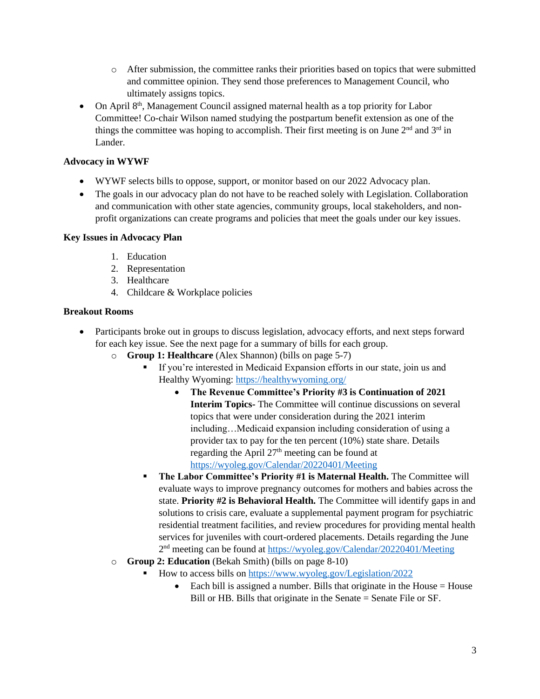- o After submission, the committee ranks their priorities based on topics that were submitted and committee opinion. They send those preferences to Management Council, who ultimately assigns topics.
- On April 8<sup>th</sup>, Management Council assigned maternal health as a top priority for Labor Committee! Co-chair Wilson named studying the postpartum benefit extension as one of the things the committee was hoping to accomplish. Their first meeting is on June  $2<sup>nd</sup>$  and  $3<sup>rd</sup>$  in Lander.

### **Advocacy in WYWF**

- WYWF selects bills to oppose, support, or monitor based on our 2022 Advocacy plan.
- The goals in our advocacy plan do not have to be reached solely with Legislation. Collaboration and communication with other state agencies, community groups, local stakeholders, and nonprofit organizations can create programs and policies that meet the goals under our key issues.

#### **Key Issues in Advocacy Plan**

- 1. Education
- 2. Representation
- 3. Healthcare
- 4. Childcare & Workplace policies

#### **Breakout Rooms**

- Participants broke out in groups to discuss legislation, advocacy efforts, and next steps forward for each key issue. See the next page for a summary of bills for each group.
	- o **Group 1: Healthcare** (Alex Shannon) (bills on page 5-7)
		- If you're interested in Medicaid Expansion efforts in our state, join us and Healthy Wyoming:<https://healthywyoming.org/>
			- **The Revenue Committee's Priority #3 is Continuation of 2021 Interim Topics-** The Committee will continue discussions on several topics that were under consideration during the 2021 interim including…Medicaid expansion including consideration of using a provider tax to pay for the ten percent (10%) state share. Details regarding the April 27th meeting can be found at <https://wyoleg.gov/Calendar/20220401/Meeting>
		- **The Labor Committee's Priority #1 is Maternal Health.** The Committee will evaluate ways to improve pregnancy outcomes for mothers and babies across the state. **Priority #2 is Behavioral Health.** The Committee will identify gaps in and solutions to crisis care, evaluate a supplemental payment program for psychiatric residential treatment facilities, and review procedures for providing mental health services for juveniles with court-ordered placements. Details regarding the June 2<sup>nd</sup> meeting can be found a[t https://wyoleg.gov/Calendar/20220401/Meeting](https://wyoleg.gov/Calendar/20220401/Meeting)
	- o **Group 2: Education** (Bekah Smith) (bills on page 8-10)
		- How to access bills o[n https://www.wyoleg.gov/Legislation/2022](https://www.wyoleg.gov/Legislation/2022)
			- Each bill is assigned a number. Bills that originate in the House  $=$  House Bill or HB. Bills that originate in the Senate = Senate File or SF.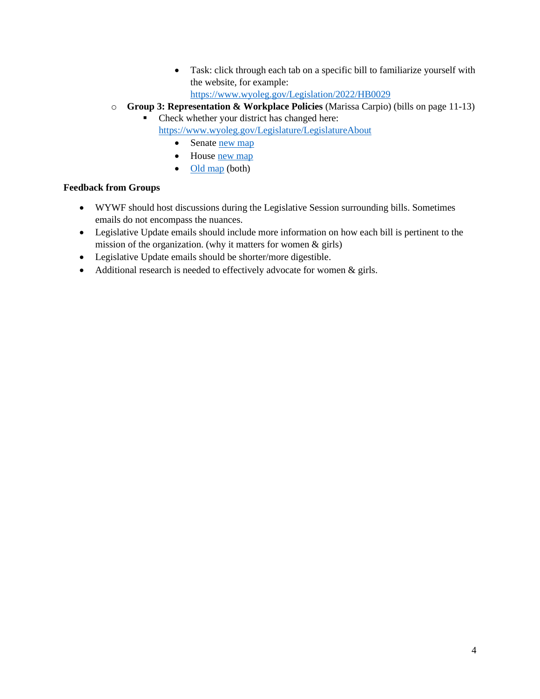- Task: click through each tab on a specific bill to familiarize yourself with the website, for example: <https://www.wyoleg.gov/Legislation/2022/HB0029>
- o **Group 3: Representation & Workplace Policies** (Marissa Carpio) (bills on page 11-13)
	- Check whether your district has changed here: <https://www.wyoleg.gov/Legislature/LegislatureAbout>
		- Senate <u>new map</u>
		- House [new map](https://www.google.com/maps/d/u/0/viewer?mid=1JBDxCC2Ng3RGEZaiI9HtuCyKzDzNQVbm&ll=42.7398550683934%2C-107.46701438916195&z=8)
		- $\bullet$  [Old map](http://redistricting.state.wy.us/#5.85/43.033/-107.553) (both)

## **Feedback from Groups**

- WYWF should host discussions during the Legislative Session surrounding bills. Sometimes emails do not encompass the nuances.
- Legislative Update emails should include more information on how each bill is pertinent to the mission of the organization. (why it matters for women & girls)
- Legislative Update emails should be shorter/more digestible.
- Additional research is needed to effectively advocate for women & girls.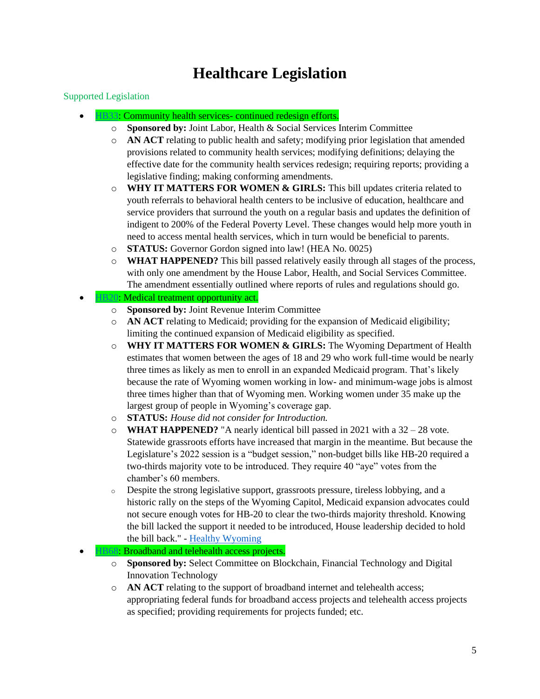# **Healthcare Legislation**

### Supported Legislation

- [HB33:](https://www.wyoleg.gov/Legislation/2022/hb0033) Community health services- continued redesign efforts.
	- o **Sponsored by:** Joint Labor, Health & Social Services Interim Committee
	- o **AN ACT** relating to public health and safety; modifying prior legislation that amended provisions related to community health services; modifying definitions; delaying the effective date for the community health services redesign; requiring reports; providing a legislative finding; making conforming amendments.
	- o **WHY IT MATTERS FOR WOMEN & GIRLS:** This bill updates criteria related to youth referrals to behavioral health centers to be inclusive of education, healthcare and service providers that surround the youth on a regular basis and updates the definition of indigent to 200% of the Federal Poverty Level. These changes would help more youth in need to access mental health services, which in turn would be beneficial to parents.
	- o **STATUS:** Governor Gordon signed into law! (HEA No. 0025)
	- o **WHAT HAPPENED?** This bill passed relatively easily through all stages of the process, with only one amendment by the House Labor, Health, and Social Services Committee. The amendment essentially outlined where reports of rules and regulations should go.
- [HB20:](https://www.wyoleg.gov/Legislation/2022/hb0020) Medical treatment opportunity act.
	- o **Sponsored by:** Joint Revenue Interim Committee
	- o **AN ACT** relating to Medicaid; providing for the expansion of Medicaid eligibility; limiting the continued expansion of Medicaid eligibility as specified.
	- o **WHY IT MATTERS FOR WOMEN & GIRLS:** The Wyoming Department of Health estimates that women between the ages of 18 and 29 who work full-time would be nearly three times as likely as men to enroll in an expanded Medicaid program. That's likely because the rate of Wyoming women working in low- and minimum-wage jobs is almost three times higher than that of Wyoming men. Working women under 35 make up the largest group of people in Wyoming's coverage gap.
	- o **STATUS:** *House did not consider for Introduction.*
	- o **WHAT HAPPENED?** "A nearly identical bill passed in 2021 with a 32 28 vote. Statewide grassroots efforts have increased that margin in the meantime. But because the Legislature's 2022 session is a "budget session," non-budget bills like HB-20 required a two-thirds majority vote to be introduced. They require 40 "aye" votes from the chamber's 60 members.
	- o Despite the strong legislative support, grassroots pressure, tireless lobbying, and a historic rally on the steps of the Wyoming Capitol, Medicaid expansion advocates could not secure enough votes for HB-20 to clear the two-thirds majority threshold. Knowing the bill lacked the support it needed to be introduced, House leadership decided to hold the bill back." - [Healthy Wyoming](https://healthywyoming.org/short-the-votes-house-leadership-holds-back-medicaid-expansion-bill/?emci=8bbb9cda-ec98-ec11-a507-281878b83d8a&emdi=df184033-f498-ec11-a507-281878b83d8a&ceid=76447)

## HB68. Broadband and telehealth access projects.

- o **Sponsored by:** Select Committee on Blockchain, Financial Technology and Digital Innovation Technology
- o **AN ACT** relating to the support of broadband internet and telehealth access; appropriating federal funds for broadband access projects and telehealth access projects as specified; providing requirements for projects funded; etc.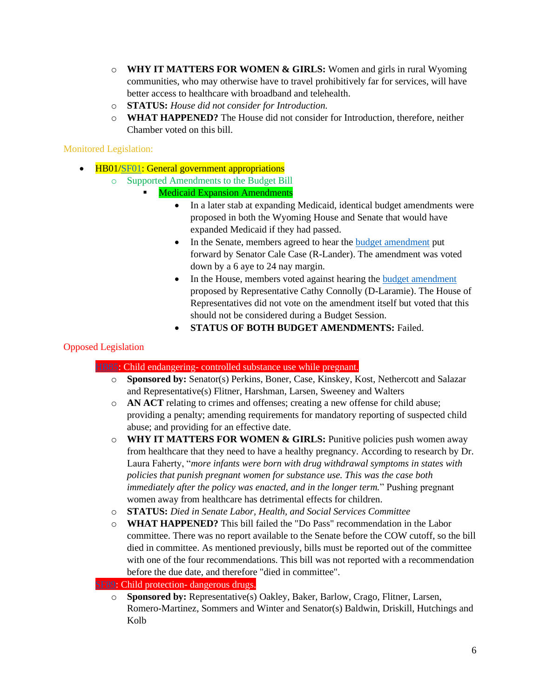- o **WHY IT MATTERS FOR WOMEN & GIRLS:** Women and girls in rural Wyoming communities, who may otherwise have to travel prohibitively far for services, will have better access to healthcare with broadband and telehealth.
- o **STATUS:** *House did not consider for Introduction.*
- o **WHAT HAPPENED?** The House did not consider for Introduction, therefore, neither Chamber voted on this bill.

## Monitored Legislation:

- HB01[/SF01:](https://www.wyoleg.gov/Legislation/2022/sf0001) General government appropriations
	- o Supported Amendments to the Budget Bill
		- **Medicaid Expansion Amendments** 
			- In a later stab at expanding Medicaid, identical budget amendments were proposed in both the Wyoming House and Senate that would have expanded Medicaid if they had passed.
			- In the Senate, members agreed to hear the [budget amendment](https://wyoleg.gov/2022/Amends/SF0001S3006.pdf) put forward by Senator Cale Case (R-Lander). The amendment was voted down by a 6 aye to 24 nay margin.
			- In the House, members voted against hearing the budget amendment proposed by Representative Cathy Connolly (D-Laramie). The House of Representatives did not vote on the amendment itself but voted that this should not be considered during a Budget Session.
			- **STATUS OF BOTH BUDGET AMENDMENTS:** Failed.

## Opposed Legislation

## • [HB85:](https://www.wyoleg.gov/Legislation/2022/hb0085) Child endangering- controlled substance use while pregnant.

- o **Sponsored by:** Senator(s) Perkins, Boner, Case, Kinskey, Kost, Nethercott and Salazar and Representative(s) Flitner, Harshman, Larsen, Sweeney and Walters
- o **AN ACT** relating to crimes and offenses; creating a new offense for child abuse; providing a penalty; amending requirements for mandatory reporting of suspected child abuse; and providing for an effective date.
- o **WHY IT MATTERS FOR WOMEN & GIRLS:** Punitive policies push women away from healthcare that they need to have a healthy pregnancy. According to research by Dr. Laura Faherty, "*more infants were born with drug withdrawal symptoms in states with policies that punish pregnant women for substance use. This was the case both immediately after the policy was enacted, and in the longer term.*" Pushing pregnant women away from healthcare has detrimental effects for children.
- o **STATUS:** *Died in Senate Labor, Health, and Social Services Committee*
- o **WHAT HAPPENED?** This bill failed the "Do Pass" recommendation in the Labor committee. There was no report available to the Senate before the COW cutoff, so the bill died in committee. As mentioned previously, bills must be reported out of the committee with one of the four recommendations. This bill was not reported with a recommendation before the due date, and therefore "died in committee".

## [SF89:](https://www.wyoleg.gov/Legislation/2022/sf0089) Child protection- dangerous drugs.

o **Sponsored by:** Representative(s) Oakley, Baker, Barlow, Crago, Flitner, Larsen, Romero-Martinez, Sommers and Winter and Senator(s) Baldwin, Driskill, Hutchings and Kolb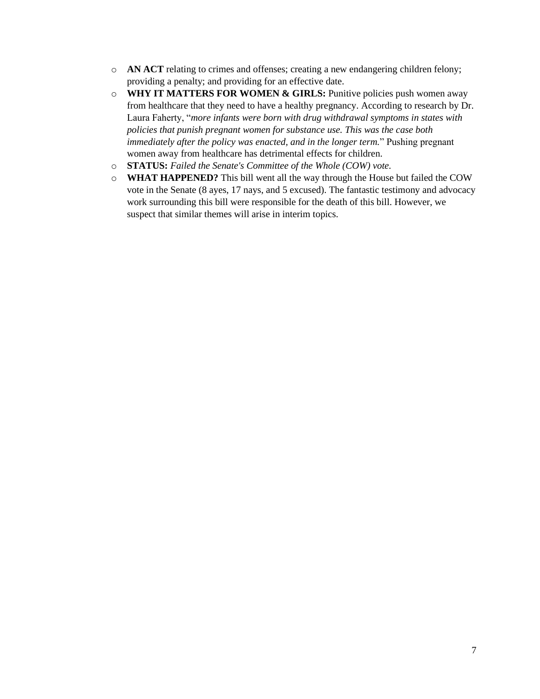- o **AN ACT** relating to crimes and offenses; creating a new endangering children felony; providing a penalty; and providing for an effective date.
- o **WHY IT MATTERS FOR WOMEN & GIRLS:** Punitive policies push women away from healthcare that they need to have a healthy pregnancy. According to research by Dr. Laura Faherty, "*more infants were born with drug withdrawal symptoms in states with policies that punish pregnant women for substance use. This was the case both immediately after the policy was enacted, and in the longer term.*" Pushing pregnant women away from healthcare has detrimental effects for children.
- o **STATUS:** *Failed the Senate's Committee of the Whole (COW) vote.*
- o **WHAT HAPPENED?** This bill went all the way through the House but failed the COW vote in the Senate (8 ayes, 17 nays, and 5 excused). The fantastic testimony and advocacy work surrounding this bill were responsible for the death of this bill. However, we suspect that similar themes will arise in interim topics.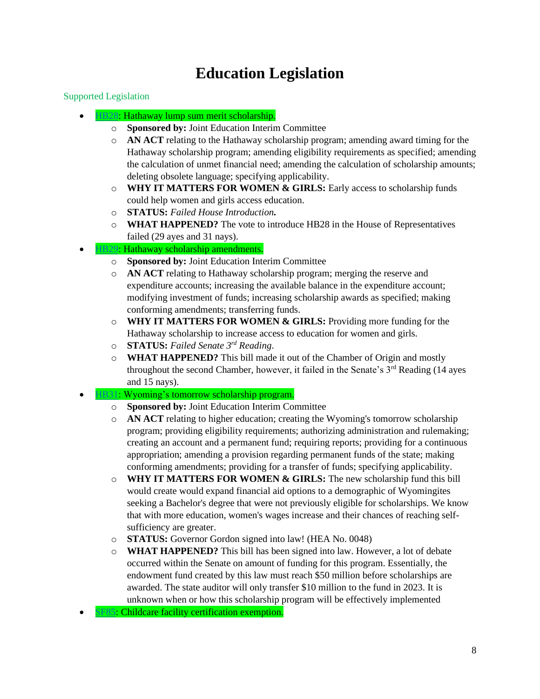# **Education Legislation**

#### Supported Legislation

- [HB28:](https://www.wyoleg.gov/Legislation/2022/hb0028) Hathaway lump sum merit scholarship.
	- o **Sponsored by:** Joint Education Interim Committee
	- o **AN ACT** relating to the Hathaway scholarship program; amending award timing for the Hathaway scholarship program; amending eligibility requirements as specified; amending the calculation of unmet financial need; amending the calculation of scholarship amounts; deleting obsolete language; specifying applicability.
	- o **WHY IT MATTERS FOR WOMEN & GIRLS:** Early access to scholarship funds could help women and girls access education.
	- o **STATUS:** *Failed House Introduction.*
	- o **WHAT HAPPENED?** The vote to introduce HB28 in the House of Representatives failed (29 ayes and 31 nays).
- [HB29:](https://www.wyoleg.gov/Legislation/2022/hb0029) Hathaway scholarship amendments.
	- o **Sponsored by:** Joint Education Interim Committee
	- o **AN ACT** relating to Hathaway scholarship program; merging the reserve and expenditure accounts; increasing the available balance in the expenditure account; modifying investment of funds; increasing scholarship awards as specified; making conforming amendments; transferring funds.
	- o **WHY IT MATTERS FOR WOMEN & GIRLS:** Providing more funding for the Hathaway scholarship to increase access to education for women and girls.
	- o **STATUS:** *Failed Senate 3rd Reading*.
	- o **WHAT HAPPENED?** This bill made it out of the Chamber of Origin and mostly throughout the second Chamber, however, it failed in the Senate's  $3<sup>rd</sup>$  Reading (14 ayes and 15 nays).

#### • [HB31:](https://www.wyoleg.gov/Legislation/2022/hb0031) Wyoming's tomorrow scholarship program.

- o **Sponsored by:** Joint Education Interim Committee
- o **AN ACT** relating to higher education; creating the Wyoming's tomorrow scholarship program; providing eligibility requirements; authorizing administration and rulemaking; creating an account and a permanent fund; requiring reports; providing for a continuous appropriation; amending a provision regarding permanent funds of the state; making conforming amendments; providing for a transfer of funds; specifying applicability.
- o **WHY IT MATTERS FOR WOMEN & GIRLS:** The new scholarship fund this bill would create would expand financial aid options to a demographic of Wyomingites seeking a Bachelor's degree that were not previously eligible for scholarships. We know that with more education, women's wages increase and their chances of reaching selfsufficiency are greater.
- o **STATUS:** Governor Gordon signed into law! (HEA No. 0048)
- o **WHAT HAPPENED?** This bill has been signed into law. However, a lot of debate occurred within the Senate on amount of funding for this program. Essentially, the endowment fund created by this law must reach \$50 million before scholarships are awarded. The state auditor will only transfer \$10 million to the fund in 2023. It is unknown when or how this scholarship program will be effectively implemented

[SF85:](https://www.wyoleg.gov/Legislation/2022/sf0085) Childcare facility certification exemption.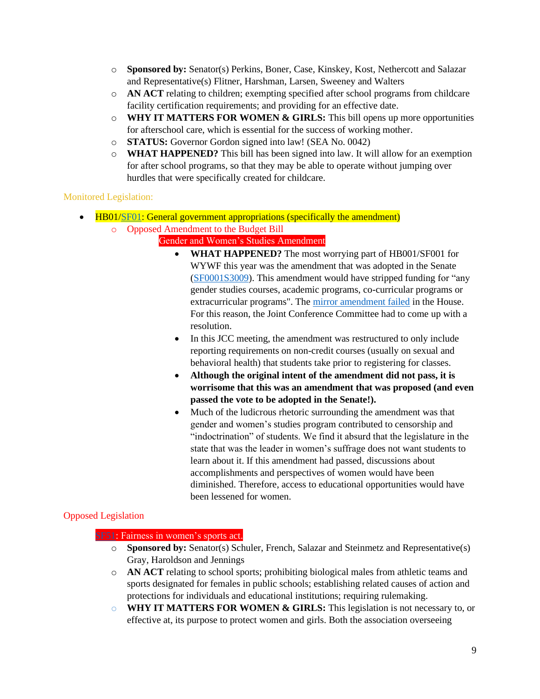- o **Sponsored by:** Senator(s) Perkins, Boner, Case, Kinskey, Kost, Nethercott and Salazar and Representative(s) Flitner, Harshman, Larsen, Sweeney and Walters
- o **AN ACT** relating to children; exempting specified after school programs from childcare facility certification requirements; and providing for an effective date.
- o **WHY IT MATTERS FOR WOMEN & GIRLS:** This bill opens up more opportunities for afterschool care, which is essential for the success of working mother.
- o **STATUS:** Governor Gordon signed into law! (SEA No. 0042)
- o **WHAT HAPPENED?** This bill has been signed into law. It will allow for an exemption for after school programs, so that they may be able to operate without jumping over hurdles that were specifically created for childcare.

Monitored Legislation:

- HB01[/SF01:](https://www.wyoleg.gov/Legislation/2022/sf0001) General government appropriations (specifically the amendment)
	- o Opposed Amendment to the Budget Bill
		- Gender and Women's Studies Amendment
			- **WHAT HAPPENED?** The most worrying part of HB001/SF001 for WYWF this year was the amendment that was adopted in the Senate [\(SF0001S3009\)](https://wyoleg.gov/2022/Amends/SF0001S3009.pdf). This amendment would have stripped funding for "any gender studies courses, academic programs, co-curricular programs or extracurricular programs". The [mirror amendment failed](https://wyoleg.gov/2022/Amends/HB0001H3012.pdf) in the House. For this reason, the Joint Conference Committee had to come up with a resolution.
			- In this JCC meeting, the amendment was restructured to only include reporting requirements on non-credit courses (usually on sexual and behavioral health) that students take prior to registering for classes.
			- **Although the original intent of the amendment did not pass, it is worrisome that this was an amendment that was proposed (and even passed the vote to be adopted in the Senate!).**
			- Much of the ludicrous rhetoric surrounding the amendment was that gender and women's studies program contributed to censorship and "indoctrination" of students. We find it absurd that the legislature in the state that was the leader in women's suffrage does not want students to learn about it. If this amendment had passed, discussions about accomplishments and perspectives of women would have been diminished. Therefore, access to educational opportunities would have been lessened for women.

## Opposed Legislation

## [SF51:](https://www.wyoleg.gov/Legislation/2022/sf0051) Fairness in women's sports act.

- o **Sponsored by:** Senator(s) Schuler, French, Salazar and Steinmetz and Representative(s) Gray, Haroldson and Jennings
- o **AN ACT** relating to school sports; prohibiting biological males from athletic teams and sports designated for females in public schools; establishing related causes of action and protections for individuals and educational institutions; requiring rulemaking.
- o **WHY IT MATTERS FOR WOMEN & GIRLS:** This legislation is not necessary to, or effective at, its purpose to protect women and girls. Both the association overseeing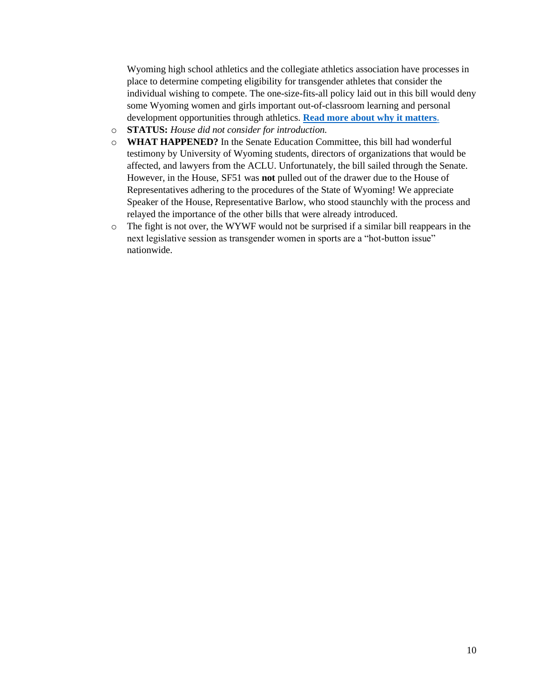Wyoming high school athletics and the collegiate athletics association have processes in place to determine competing eligibility for transgender athletes that consider the individual wishing to compete. The one-size-fits-all policy laid out in this bill would deny some Wyoming women and girls important out-of-classroom learning and personal development opportunities through athletics. **[Read more about why it matters.](https://r20.rs6.net/tn.jsp?f=001fHYjYJTK2Ozs7jZsK7_kQoRirmWSgYXoELf7jJZzYKG0s4oQWlO4ec0m9tl1oXQXuYK5q4RGEx20cLN-ZhndeqlclkdpEjhH-Uk7qSlJ6qRtsGVRZxa_KKF0NB0_EDI2LrdTG6FRxHGg22mg3Ogy3PjtvtqXF7pQUbTBzBpn92QLGR-YNkP0MRKO9PjG1yZP-7bWnuWoXNGSbkDIqLcIDQ==&c=AawxWJXl4JyIXx3IO75udTY4q1yWRuaezCMb6czplarH8VYnHloQbg==&ch=ls1IBtlHulQRP10U6I7cIWkFxJTRXK52kUzJVLbB3p3c1Q7y_LI-Rw==)**

- o **STATUS:** *House did not consider for introduction.*
- o **WHAT HAPPENED?** In the Senate Education Committee, this bill had wonderful testimony by University of Wyoming students, directors of organizations that would be affected, and lawyers from the ACLU. Unfortunately, the bill sailed through the Senate. However, in the House, SF51 was **not** pulled out of the drawer due to the House of Representatives adhering to the procedures of the State of Wyoming! We appreciate Speaker of the House, Representative Barlow, who stood staunchly with the process and relayed the importance of the other bills that were already introduced.
- o The fight is not over, the WYWF would not be surprised if a similar bill reappears in the next legislative session as transgender women in sports are a "hot-button issue" nationwide.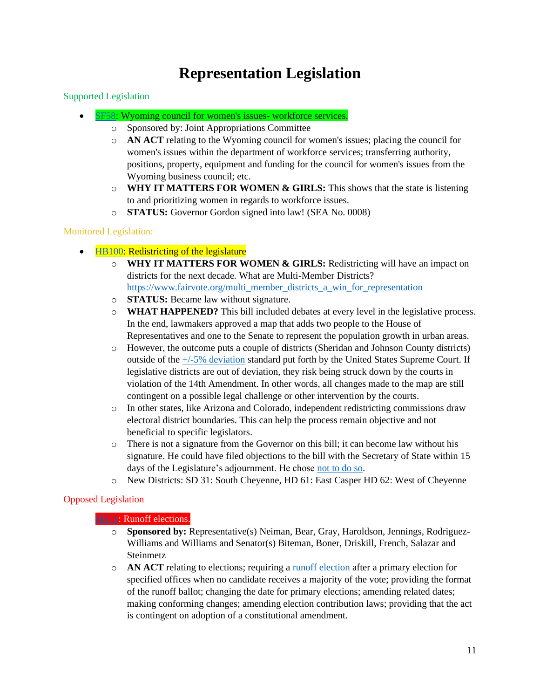# **Representation Legislation**

#### Supported Legislation

- [SF58:](https://www.wyoleg.gov/Legislation/2022/sf0058) Wyoming council for women's issues- workforce services.
	- o Sponsored by: Joint Appropriations Committee
	- o **AN ACT** relating to the Wyoming council for women's issues; placing the council for women's issues within the department of workforce services; transferring authority, positions, property, equipment and funding for the council for women's issues from the Wyoming business council; etc.
	- o **WHY IT MATTERS FOR WOMEN & GIRLS:** This shows that the state is listening to and prioritizing women in regards to workforce issues.
	- o **STATUS:** Governor Gordon signed into law! (SEA No. 0008)

#### Monitored Legislation:

- [HB100:](https://www.wyoleg.gov/Legislation/2022/hb0100) Redistricting of the legislature
	- o **WHY IT MATTERS FOR WOMEN & GIRLS:** Redistricting will have an impact on districts for the next decade. What are Multi-Member Districts? [https://www.fairvote.org/multi\\_member\\_districts\\_a\\_win\\_for\\_representation](https://www.fairvote.org/multi_member_districts_a_win_for_representation)
	- o **STATUS:** Became law without signature.
	- o **WHAT HAPPENED?** This bill included debates at every level in the legislative process. In the end, lawmakers approved a map that adds two people to the House of Representatives and one to the Senate to represent the population growth in urban areas.
	- o However, the outcome puts a couple of districts (Sheridan and Johnson County districts) outside of the [+/-5% deviation](https://wyoleg.gov/Redistricting/Redistricting2020/RedistrictingQuestions.pdf) standard put forth by the United States Supreme Court. If legislative districts are out of deviation, they risk being struck down by the courts in violation of the 14th Amendment. In other words, all changes made to the map are still contingent on a possible legal challenge or other intervention by the courts.
	- o In other states, like Arizona and Colorado, independent redistricting commissions draw electoral district boundaries. This can help the process remain objective and not beneficial to specific legislators.
	- o There is not a signature from the Governor on this bill; it can become law without his signature. He could have filed objections to the bill with the Secretary of State within 15 days of the Legislature's adjournment. He chose [not to do so.](https://trib.com/news/state-and-regional/govt-and-politics/gov-mark-gordon-allows-redistricting-bill-to-become-law-without-his-signature/article_5e188807-1073-5124-a576-2f125e342c79.html)
	- o New Districts: SD 31: South Cheyenne, HD 61: East Casper HD 62: West of Cheyenne

## Opposed Legislation

#### [HB74:](https://www.wyoleg.gov/Legislation/2022/hb0074) Runoff elections.

- o **Sponsored by:** Representative(s) Neiman, Bear, Gray, Haroldson, Jennings, Rodriguez-Williams and Williams and Senator(s) Biteman, Boner, Driskill, French, Salazar and **Steinmetz**
- o **AN ACT** relating to elections; requiring a [runoff election](https://ballotpedia.org/Runoff_election) after a primary election for specified offices when no candidate receives a majority of the vote; providing the format of the runoff ballot; changing the date for primary elections; amending related dates; making conforming changes; amending election contribution laws; providing that the act is contingent on adoption of a constitutional amendment.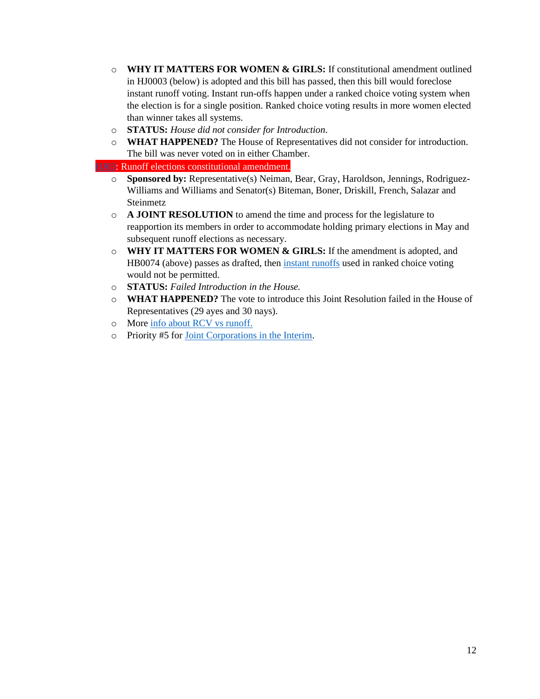- o **WHY IT MATTERS FOR WOMEN & GIRLS:** If constitutional amendment outlined in HJ0003 (below) is adopted and this bill has passed, then this bill would foreclose instant runoff voting. Instant run-offs happen under a ranked choice voting system when the election is for a single position. Ranked choice voting results in more women elected than winner takes all systems.
- o **STATUS:** *House did not consider for Introduction*.
- o **WHAT HAPPENED?** The House of Representatives did not consider for introduction. The bill was never voted on in either Chamber.

• [HJ03:](https://www.wyoleg.gov/Legislation/2022/hj0003) Runoff elections constitutional amendment.

- o **Sponsored by:** Representative(s) Neiman, Bear, Gray, Haroldson, Jennings, Rodriguez-Williams and Williams and Senator(s) Biteman, Boner, Driskill, French, Salazar and Steinmetz
- o **A JOINT RESOLUTION** to amend the time and process for the legislature to reapportion its members in order to accommodate holding primary elections in May and subsequent runoff elections as necessary.
- o **WHY IT MATTERS FOR WOMEN & GIRLS:** If the amendment is adopted, and HB0074 (above) passes as drafted, then [instant runoffs](https://www.fairvote.org/rcv#where_is_ranked_choice_voting_used) used in ranked choice voting would not be permitted.
- o **STATUS:** *Failed Introduction in the House.*
- o **WHAT HAPPENED?** The vote to introduce this Joint Resolution failed in the House of Representatives (29 ayes and 30 nays).
- o More [info about RCV vs runoff.](https://www.representwomen.org/what_s_the_deal_with_runoff_elections)
- o Priority #5 fo[r Joint Corporations in the Interim.](https://wyoleg.gov/InterimCommittee/2022/SMC-202204082022InterimCommitteeTopicLettersCombined.pdf)